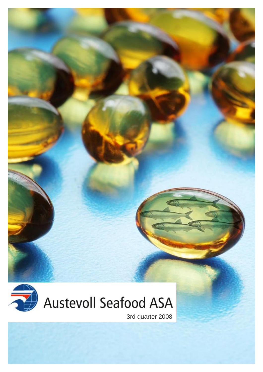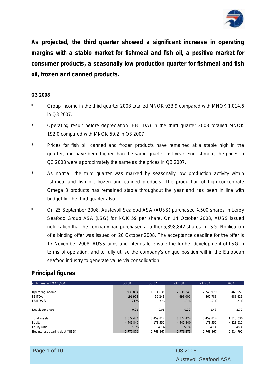

**As projected, the third quarter showed a significant increase in operating margins with a stable market for fishmeal and fish oil, a positive market for consumer products, a seasonally low production quarter for fishmeal and fish oil, frozen and canned products.**

#### **Q3 2008**

- Group income in the third quarter 2008 totalled MNOK 933.9 compared with MNOK 1,014.6 in Q3 2007.
- Operating result before depreciation (EBITDA) in the third quarter 2008 totalled MNOK 192.0 compared with MNOK 59.2 in Q3 2007.
- Prices for fish oil, canned and frozen products have remained at a stable high in the quarter, and have been higher than the same quarter last year. For fishmeal, the prices in Q3 2008 were approximately the same as the prices in Q3 2007.
- As normal, the third quarter was marked by seasonally low production activity within fishmeal and fish oil, frozen and canned products. The production of high-concentrate Omega 3 products has remained stable throughout the year and has been in line with budget for the third quarter also.
- On 25 September 2008, Austevoll Seafood ASA (AUSS) purchased 4,500 shares in Lerøy Seafood Group ASA (LSG) for NOK 59 per share. On 14 October 2008, AUSS issued notification that the company had purchased a further 5,398,842 shares in LSG. Notification of a binding offer was issued on 20 October 2008. The acceptance deadline for the offer is 17 November 2008. AUSS aims and intends to ensure the further development of LSG in terms of operation, and to fully utilise the company's unique position within the European seafood industry to generate value via consolidation.

## **Principal figures**

| All figures in NOK 1,000         | Q3 08         | Q3 07      | YTD 08        | YTD <sub>07</sub> | 2007          |
|----------------------------------|---------------|------------|---------------|-------------------|---------------|
|                                  |               |            |               |                   |               |
| Operating income                 | 933 854       | 1014638    | 2 536 247     | 2748979           | 3 468 957     |
| <b>EBITDA</b>                    | 191 973       | 59 241     | 493 009       | 460 783           | 483 411       |
| EBITDA %                         | 21 %          | 6 %        | 19 %          | 17 %              | 14 %          |
|                                  |               |            |               |                   |               |
| Result per share                 | 0,22          | $-0.01$    | 0,29          | 2,48              | 2,72          |
|                                  |               |            |               |                   |               |
| Total assets                     | 8 8 7 2 4 2 4 | 8 459 814  | 8 8 7 2 4 2 4 | 8 4 5 9 8 1 4     | 8813030       |
| Equity                           | 4 442 840     | 4 178 551  | 4 442 840     | 4 178 551         | 4 2 2 8 6 1 1 |
| Equity ratio                     | 50 %          | 49 %       | 50 %          | 49 %              | 48 %          |
| Net interest-bearing debt (NIBD) | $-2776879$    | $-1768867$ | $-2776879$    | $-1768867$        | $-2514792$    |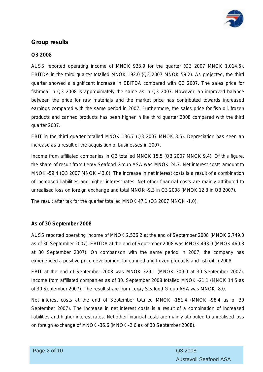

## **Group results**

#### **Q3 2008**

AUSS reported operating income of MNOK 933.9 for the quarter (Q3 2007 MNOK 1,014.6). EBITDA in the third quarter totalled MNOK 192.0 (Q3 2007 MNOK 59.2). As projected, the third quarter showed a significant increase in EBITDA compared with Q3 2007. The sales price for fishmeal in Q3 2008 is approximately the same as in Q3 2007. However, an improved balance between the price for raw materials and the market price has contributed towards increased earnings compared with the same period in 2007. Furthermore, the sales price for fish oil, frozen products and canned products has been higher in the third quarter 2008 compared with the third quarter 2007.

EBIT in the third quarter totalled MNOK 136.7 (Q3 2007 MNOK 8.5). Depreciation has seen an increase as a result of the acquisition of businesses in 2007.

Income from affiliated companies in Q3 totalled MNOK 15.5 (Q3 2007 MNOK 9.4). Of this figure, the share of result from Lerøy Seafood Group ASA was MNOK 24.7. Net interest costs amount to MNOK -59.4 (Q3 2007 MNOK -43.0). The increase in net interest costs is a result of a combination of increased liabilities and higher interest rates. Net other financial costs are mainly attributed to unrealised loss on foreign exchange and total MNOK -9.3 in Q3 2008 (MNOK 12.3 in Q3 2007).

The result after tax for the quarter totalled MNOK 47.1 (Q3 2007 MNOK -1.0).

#### **As of 30 September 2008**

AUSS reported operating income of MNOK 2,536.2 at the end of September 2008 (MNOK 2,749.0 as of 30 September 2007). EBITDA at the end of September 2008 was MNOK 493.0 (MNOK 460.8 at 30 September 2007). On comparison with the same period in 2007, the company has experienced a positive price development for canned and frozen products and fish oil in 2008.

EBIT at the end of September 2008 was MNOK 329.1 (MNOK 309.0 at 30 September 2007). Income from affiliated companies as of 30. September 2008 totalled MNOK -21.1 (MNOK 14.5 as of 30 September 2007). The result share from Lerøy Seafood Group ASA was MNOK -8.0.

Net interest costs at the end of September totalled MNOK -151.4 (MNOK -98.4 as of 30 September 2007). The increase in net interest costs is a result of a combination of increased liabilities and higher interest rates. Net other financial costs are mainly attributed to unrealised loss on foreign exchange of MNOK -36.6 (MNOK -2.6 as of 30 September 2008).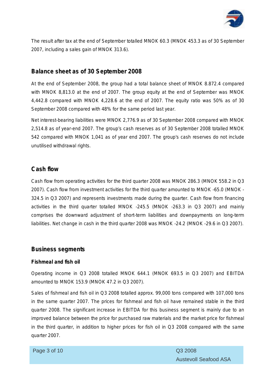

The result after tax at the end of September totalled MNOK 60.3 (MNOK 453.3 as of 30 September 2007, including a sales gain of MNOK 313.6).

## **Balance sheet as of 30 September 2008**

At the end of September 2008, the group had a total balance sheet of MNOK 8.872.4 compared with MNOK 8,813.0 at the end of 2007. The group equity at the end of September was MNOK 4,442.8 compared with MNOK 4,228.6 at the end of 2007. The equity ratio was 50% as of 30 September 2008 compared with 48% for the same period last year.

Net interest-bearing liabilities were MNOK 2,776.9 as of 30 September 2008 compared with MNOK 2,514.8 as of year-end 2007. The group's cash reserves as of 30 September 2008 totalled MNOK 542 compared with MNOK 1,041 as of year end 2007. The group's cash reserves do not include unutilised withdrawal rights.

## **Cash flow**

Cash flow from operating activities for the third quarter 2008 was MNOK 286.3 (MNOK 558.2 in Q3 2007). Cash flow from investment activities for the third quarter amounted to MNOK -65.0 (MNOK - 324.5 in Q3 2007) and represents investments made during the quarter. Cash flow from financing activities in the third quarter totalled MNOK -245.5 (MNOK -263.3 in Q3 2007) and mainly comprises the downward adjustment of short-term liabilities and downpayments on long-term liabilities. Net change in cash in the third quarter 2008 was MNOK -24.2 (MNOK -29.6 in Q3 2007).

## **Business segments**

### **Fishmeal and fish oil**

Operating income in Q3 2008 totalled MNOK 644.1 (MNOK 693.5 in Q3 2007) and EBITDA amounted to MNOK 153.9 (MNOK 47.2 in Q3 2007).

Sales of fishmeal and fish oil in Q3 2008 totalled approx. 99,000 tons compared with 107,000 tons in the same quarter 2007. The prices for fishmeal and fish oil have remained stable in the third quarter 2008. The significant increase in EBITDA for this business segment is mainly due to an improved balance between the price for purchased raw materials and the market price for fishmeal in the third quarter, in addition to higher prices for fish oil in Q3 2008 compared with the same quarter 2007.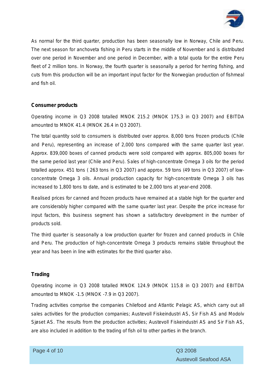

As normal for the third quarter, production has been seasonally low in Norway, Chile and Peru. The next season for anchoveta fishing in Peru starts in the middle of November and is distributed over one period in November and one period in December, with a total quota for the entire Peru fleet of 2 million tons. In Norway, the fourth quarter is seasonally a period for herring fishing, and cuts from this production will be an important input factor for the Norwegian production of fishmeal and fish oil.

### **Consumer products**

Operating income in Q3 2008 totalled MNOK 215.2 (MNOK 175.3 in Q3 2007) and EBITDA amounted to MNOK 41.4 (MNOK 26.4 in Q3 2007).

The total quantity sold to consumers is distributed over approx. 8,000 tons frozen products (Chile and Peru), representing an increase of 2,000 tons compared with the same quarter last year. Approx. 839,000 boxes of canned products were sold compared with approx. 805,000 boxes for the same period last year (Chile and Peru). Sales of high-concentrate Omega 3 oils for the period totalled approx. 451 tons ( 263 tons in Q3 2007) and approx. 59 tons (49 tons in Q3 2007) of lowconcentrate Omega 3 oils. Annual production capacity for high-concentrate Omega 3 oils has increased to 1,800 tons to date, and is estimated to be 2,000 tons at year-end 2008.

Realised prices for canned and frozen products have remained at a stable high for the quarter and are considerably higher compared with the same quarter last year. Despite the price increase for input factors, this business segment has shown a satisfactory development in the number of products sold.

The third quarter is seasonally a low production quarter for frozen and canned products in Chile and Peru. The production of high-concentrate Omega 3 products remains stable throughout the year and has been in line with estimates for the third quarter also.

#### **Trading**

Operating income in Q3 2008 totalled MNOK 124.9 (MNOK 115.8 in Q3 2007) and EBITDA amounted to MNOK -1.5 (MNOK -7.9 in Q3 2007).

Trading activities comprise the companies Chilefood and Atlantic Pelagic AS, which carry out all sales activities for the production companies; Austevoll Fiskeindustri AS, Sir Fish AS and Modolv Sjøset AS. The results from the production activities; Austevoll Fiskeindustri AS and Sir Fish AS, are also included in addition to the trading of fish oil to other parties in the branch.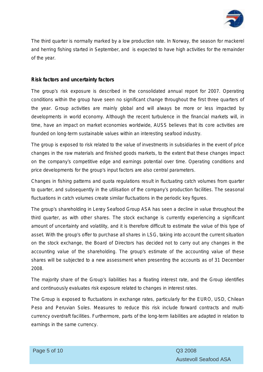

The third quarter is normally marked by a low production rate. In Norway, the season for mackerel and herring fishing started in September, and is expected to have high activities for the remainder of the year.

#### **Risk factors and uncertainty factors**

The group's risk exposure is described in the consolidated annual report for 2007. Operating conditions within the group have seen no significant change throughout the first three quarters of the year. Group activities are mainly global and will always be more or less impacted by developments in world economy. Although the recent turbulence in the financial markets will, in time, have an impact on market economies worldwide, AUSS believes that its core activities are founded on long-term sustainable values within an interesting seafood industry.

The group is exposed to risk related to the value of investments in subsidiaries in the event of price changes in the raw materials and finished goods markets, to the extent that these changes impact on the company's competitive edge and earnings potential over time. Operating conditions and price developments for the group's input factors are also central parameters.

Changes in fishing patterns and quota regulations result in fluctuating catch volumes from quarter to quarter, and subsequently in the utilisation of the company's production facilities. The seasonal fluctuations in catch volumes create similar fluctuations in the periodic key figures.

The group's shareholding in Lerøy Seafood Group ASA has seen a decline in value throughout the third quarter, as with other shares. The stock exchange is currently experiencing a significant amount of uncertainty and volatility, and it is therefore difficult to estimate the value of this type of asset. With the group's offer to purchase all shares in LSG, taking into account the current situation on the stock exchange, the Board of Directors has decided not to carry out any changes in the accounting value of the shareholding. The group's estimate of the accounting value of these shares will be subjected to a new assessment when presenting the accounts as of 31 December 2008.

The majority share of the Group's liabilities has a floating interest rate, and the Group identifies and continuously evaluates risk exposure related to changes in interest rates.

The Group is exposed to fluctuations in exchange rates, particularly for the EURO, USD, Chilean Peso and Peruvian Soles. Measures to reduce this risk include forward contracts and multicurrency overdraft facilities. Furthermore, parts of the long-term liabilities are adapted in relation to earnings in the same currency.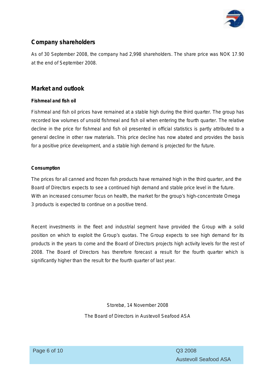

## **Company shareholders**

As of 30 September 2008, the company had 2,998 shareholders. The share price was NOK 17.90 at the end of September 2008.

## **Market and outlook**

#### **Fishmeal and fish oil**

Fishmeal and fish oil prices have remained at a stable high during the third quarter. The group has recorded low volumes of unsold fishmeal and fish oil when entering the fourth quarter. The relative decline in the price for fishmeal and fish oil presented in official statistics is partly attributed to a general decline in other raw materials. This price decline has now abated and provides the basis for a positive price development, and a stable high demand is projected for the future.

### **Consumption**

The prices for all canned and frozen fish products have remained high in the third quarter, and the Board of Directors expects to see a continued high demand and stable price level in the future. With an increased consumer focus on health, the market for the group's high-concentrate Omega 3 products is expected to continue on a positive trend.

Recent investments in the fleet and industrial segment have provided the Group with a solid position on which to exploit the Group's quotas. The Group expects to see high demand for its products in the years to come and the Board of Directors projects high activity levels for the rest of 2008. The Board of Directors has therefore forecast a result for the fourth quarter which is significantly higher than the result for the fourth quarter of last year.

Storebø, 14 November 2008

The Board of Directors in Austevoll Seafood ASA

Austevoll Seafood ASA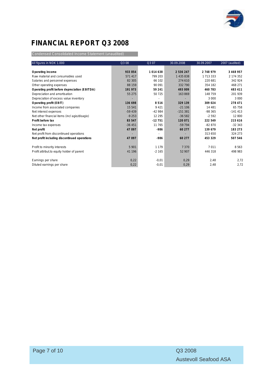

# **FINANCIAL REPORT Q3 2008**

Condensed Consolidated Income Statement (unaudited)

| All figures in NOK 1.000                      | Q3 08    | Q3 07    | 30.09.2008 | 30.09.2007    | 2007 (audited) |
|-----------------------------------------------|----------|----------|------------|---------------|----------------|
|                                               |          |          |            |               |                |
| Operating income                              | 933 854  | 1014638  | 2 536 247  | 2 748 979     | 3 4 6 8 9 5 7  |
| Raw material and consumables used             | 571 417  | 799 203  | 1 435 838  | 1 7 1 3 3 3 3 | 2 174 352      |
| Salaries and personnel expenses               | 82 305   | 66 102   | 274 610    | 220 681       | 342 924        |
| Other operating expenses                      | 88 159   | 90 091   | 332 790    | 354 182       | 468 271        |
| Operating profit before depreciation (EBITDA) | 191 973  | 59 241   | 493 009    | 460 783       | 483 411        |
| Depreciation and amortisation                 | 55 275   | 50 725   | 163869     | 148 759       | 201 939        |
| Depreciation of excess value inventory        |          |          |            | 3 0 0 0       | 3 0 0 0        |
| Operating profit (EBIT)                       | 136 698  | 8516     | 329 139    | 309 024       | 278 471        |
| Income from associated companies              | 15 5 41  | 9 4 21   | $-21106$   | 14 4 8 1      | 65 758         |
| Net interest expenses                         | $-59439$ | $-42984$ | $-151381$  | $-98365$      | $-141413$      |
| Net other financial items (incl agio/disagio) | $-9253$  | 12 2 9 5 | $-36582$   | $-2592$       | 12 800         |
| Profit before tax                             | 83 547   | $-12751$ | 120 071    | 222 549       | 215 616        |
| Income tax expenses                           | $-36451$ | 11 765   | $-59794$   | $-82870$      | $-32343$       |
| Net profit                                    | 47 097   | $-986$   | 60 277     | 139 679       | 183 273        |
| Net profit from discontinued operations       |          |          |            | 313 650       | 324 273        |
| Net profit including discontinued operations  | 47 097   | $-986$   | 60 277     | 453 329       | 507 546        |
|                                               |          |          |            |               |                |
| Profit to minority interests                  | 5 9 0 1  | 1 1 7 9  | 7370       | 7011          | 8 5 6 3        |
| Profit attribut to equity holder of parent    | 41 196   | $-2165$  | 52 907     | 446 318       | 498 983        |
| Earnings per share                            | 0,22     | $-0.01$  | 0,29       | 2,48          | 2,72           |
| Diluted earnings per share                    | 0,22     | $-0,01$  | 0,29       | 2,48          | 2,72           |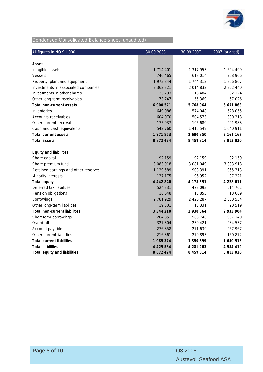

# Condensed Consolidated Balance sheet (unaudited)

| All figures in NOK 1.000             | 30.09.2008    | 30.09.2007    | 2007 (audited) |
|--------------------------------------|---------------|---------------|----------------|
|                                      |               |               |                |
| Assets                               |               |               |                |
| Intagible assets                     | 1 714 401     | 1 317 953     | 1624 499       |
| Vessels                              | 740 465       | 618014        | 708 906        |
| Property, plant and equipment        | 1 973 844     | 1744312       | 1866867        |
| Investments in associated companies  | 2 362 321     | 2014832       | 2 352 440      |
| Investments in other shares          | 35 793        | 18 4 84       | 32 124         |
| Other long term receivables          | 73 747        | 55 369        | 67 026         |
| Total non-current assets             | 6 900 571     | 5 768 964     | 6 651 863      |
| Inventories                          | 649 086       | 574 048       | 528 055        |
| Accounts receivables                 | 604 070       | 504 573       | 390 218        |
| Other current receivables            | 175 937       | 195 680       | 201 983        |
| Cash and cash equivalents            | 542 760       | 1 416 549     | 1 040 911      |
| <b>Total current assets</b>          | 1971853       | 2 690 850     | 2 161 167      |
| <b>Total assets</b>                  | 8 8 7 2 4 2 4 | 8 459 814     | 8 8 1 3 0 3 0  |
| Equity and liabilities               |               |               |                |
| Share capital                        | 92 159        | 92 159        | 92 159         |
| Share premium fund                   | 3 083 918     | 3 081 049     | 3 083 918      |
| Retained earnings and other reserves | 1 129 589     | 908 391       | 965 313        |
| Minority interests                   | 137 175       | 96 952        | 87 221         |
| Total equity                         | 4 442 840     | 4 178 551     | 4 228 611      |
| Deferred tax liabilities             | 524 331       | 473 093       | 514 762        |
| Pension obligations                  | 18 648        | 15853         | 18 089         |
| <b>Borrowings</b>                    | 2 781 929     | 2 4 2 6 2 8 7 | 2 380 534      |
| Other long-term liabilities          | 19 301        | 15 3 31       | 20 519         |
| Total non-current liabilities        | 3 344 210     | 2 930 564     | 2 933 904      |
| Short term borrowings                | 264 851       | 568 746       | 937 140        |
| Overdraft facilities                 | 327 304       | 230 421       | 284 537        |
| Account payable                      | 276 858       | 271 639       | 267 967        |
| Other current liabilities            | 216 361       | 279893        | 160 872        |
| <b>Total current liabilities</b>     | 1 085 374     | 1 350 699     | 1 650 515      |
| <b>Total liabilities</b>             | 4 4 2 9 5 8 4 | 4 281 263     | 4 5 8 4 4 1 9  |
| Total equity and liabilities         | 8 8 7 2 4 2 4 | 8 459 814     | 8 8 1 3 0 3 0  |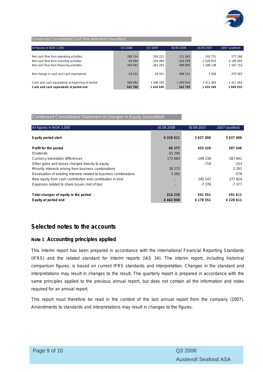

#### Condensed Consolidated Cash flow statement (unaudited)

| All figures in NOK 1.000                         | Q3 2008    | Q3 2007    | 30.09.2008 | 30.09.2007 | 2007 (audited) |
|--------------------------------------------------|------------|------------|------------|------------|----------------|
|                                                  |            |            |            |            |                |
| Net cash flow from operating activities          | 286 314    | 558 222    | 211 043    | 243 751    | 277 166        |
| Net cash flow from investing activities          | $-65044$   | $-324.480$ | $-219299$  | $-1526833$ | $-2$ 195 459   |
| Net cash flow from financing activities          | $-245.491$ | $-263293$  | $-489895$  | 1 288 138  | 1 547 710      |
|                                                  |            |            |            |            |                |
| Net change in cash and cash equivalents          | $-24221$   | $-29.551$  | $-498$ 151 | 5056       | $-370.583$     |
|                                                  |            |            |            |            |                |
| Cash and cash equivalents at beginning of period | 566 981    | 1446 100   | 1 040 910  | 1411493    | 1 411 493      |
| Cash and cash equivalents at period end          | 542 760    | 1416549    | 542 759    | 1 416 549  | 1 040 910      |

#### Condensed Consolidated Statement of changes in Equity (unaudited)

| All figures in NOK 1.000                                           | 30.09.2008    | 30.09.2007 | 2007 (audited) |
|--------------------------------------------------------------------|---------------|------------|----------------|
| Equity period start                                                | 4 2 2 8 6 1 1 | 3 637 000  | 3 637 000      |
| Profit for the period                                              | 60 277        | 453 329    | 507 546        |
| <b>Dividends</b>                                                   | $-55295$      |            |                |
| Currency translation differences                                   | 175 683       | $-199230$  | -187 941       |
| Other gains and losses charged directly to equity                  |               | $-719$     | $-153$         |
| Minority interests arising from business combinations              | 30 27 2       |            | 2 2 9 1        |
| Revaluation of existing interests related to business combinations | 3 2 9 2       |            | $-579$         |
| New equity from cash contribution and contribution in kind         |               | 295 547    | 277824         |
| Expenses related to share issues (net of tax)                      |               | -7 376     | $-7377$        |
| Total changes of equity in the period                              | 214 229       | 541 551    | 591 611        |
| Equity at period end                                               | 4 442 840     | 4 178 551  | 4 228 611      |

## **Selected notes to the accounts**

#### **Note 1 Accounting principles applied**

This interim report has been prepared in accordance with the International Financial Reporting Standards (IFRS) and the related standard for interim reports (IAS 34). The interim report, including historical comparison figures, is based on current IFRS standards and interpretation. Changes in the standard and interpretations may result in changes to the result. The quarterly report is prepared in accordance with the same principles applied to the previous annual report, but does not contain all the information and notes required for an annual report.

This report must therefore be read in the context of the last annual report from the company (2007). Amendments to standards and interpretations may result in changes to the figures.